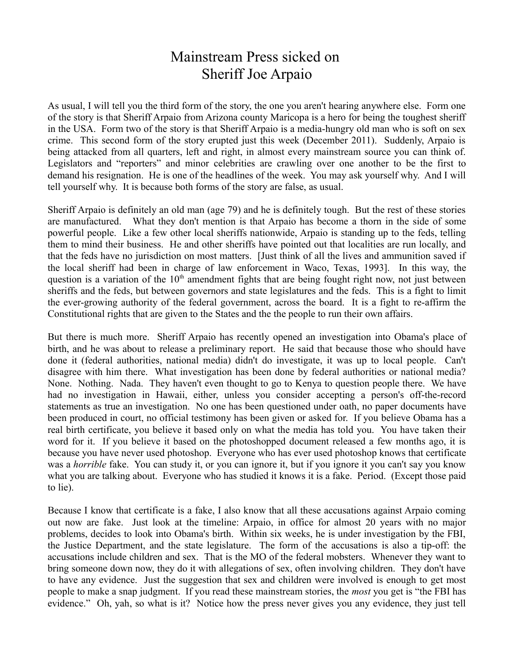## Mainstream Press sicked on Sheriff Joe Arpaio

As usual, I will tell you the third form of the story, the one you aren't hearing anywhere else. Form one of the story is that Sheriff Arpaio from Arizona county Maricopa is a hero for being the toughest sheriff in the USA. Form two of the story is that Sheriff Arpaio is a media-hungry old man who is soft on sex crime. This second form of the story erupted just this week (December 2011). Suddenly, Arpaio is being attacked from all quarters, left and right, in almost every mainstream source you can think of. Legislators and "reporters" and minor celebrities are crawling over one another to be the first to demand his resignation. He is one of the headlines of the week. You may ask yourself why. And I will tell yourself why. It is because both forms of the story are false, as usual.

Sheriff Arpaio is definitely an old man (age 79) and he is definitely tough. But the rest of these stories are manufactured. What they don't mention is that Arpaio has become a thorn in the side of some powerful people. Like a few other local sheriffs nationwide, Arpaio is standing up to the feds, telling them to mind their business. He and other sheriffs have pointed out that localities are run locally, and that the feds have no jurisdiction on most matters. [Just think of all the lives and ammunition saved if the local sheriff had been in charge of law enforcement in Waco, Texas, 1993]. In this way, the question is a variation of the  $10<sup>th</sup>$  amendment fights that are being fought right now, not just between sheriffs and the feds, but between governors and state legislatures and the feds. This is a fight to limit the ever-growing authority of the federal government, across the board. It is a fight to re-affirm the Constitutional rights that are given to the States and the the people to run their own affairs.

But there is much more. Sheriff Arpaio has recently opened an investigation into Obama's place of birth, and he was about to release a preliminary report. He said that because those who should have done it (federal authorities, national media) didn't do investigate, it was up to local people. Can't disagree with him there. What investigation has been done by federal authorities or national media? None. Nothing. Nada. They haven't even thought to go to Kenya to question people there. We have had no investigation in Hawaii, either, unless you consider accepting a person's off-the-record statements as true an investigation. No one has been questioned under oath, no paper documents have been produced in court, no official testimony has been given or asked for. If you believe Obama has a real birth certificate, you believe it based only on what the media has told you. You have taken their word for it. If you believe it based on the photoshopped document released a few months ago, it is because you have never used photoshop. Everyone who has ever used photoshop knows that certificate was a *horrible* fake. You can study it, or you can ignore it, but if you ignore it you can't say you know what you are talking about. Everyone who has studied it knows it is a fake. Period. (Except those paid to lie).

Because I know that certificate is a fake, I also know that all these accusations against Arpaio coming out now are fake. Just look at the timeline: Arpaio, in office for almost 20 years with no major problems, decides to look into Obama's birth. Within six weeks, he is under investigation by the FBI, the Justice Department, and the state legislature. The form of the accusations is also a tip-off: the accusations include children and sex. That is the MO of the federal mobsters. Whenever they want to bring someone down now, they do it with allegations of sex, often involving children. They don't have to have any evidence. Just the suggestion that sex and children were involved is enough to get most people to make a snap judgment. If you read these mainstream stories, the *most* you get is "the FBI has evidence." Oh, yah, so what is it? Notice how the press never gives you any evidence, they just tell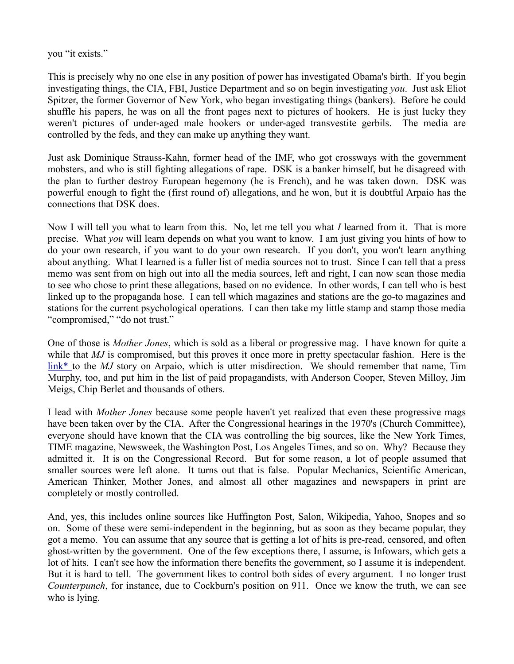you "it exists."

This is precisely why no one else in any position of power has investigated Obama's birth. If you begin investigating things, the CIA, FBI, Justice Department and so on begin investigating *you*. Just ask Eliot Spitzer, the former Governor of New York, who began investigating things (bankers). Before he could shuffle his papers, he was on all the front pages next to pictures of hookers. He is just lucky they weren't pictures of under-aged male hookers or under-aged transvestite gerbils. The media are controlled by the feds, and they can make up anything they want.

Just ask Dominique Strauss-Kahn, former head of the IMF, who got crossways with the government mobsters, and who is still fighting allegations of rape. DSK is a banker himself, but he disagreed with the plan to further destroy European hegemony (he is French), and he was taken down. DSK was powerful enough to fight the (first round of) allegations, and he won, but it is doubtful Arpaio has the connections that DSK does.

Now I will tell you what to learn from this. No, let me tell you what *I* learned from it. That is more precise. What *you* will learn depends on what you want to know. I am just giving you hints of how to do your own research, if you want to do your own research. If you don't, you won't learn anything about anything. What I learned is a fuller list of media sources not to trust. Since I can tell that a press memo was sent from on high out into all the media sources, left and right, I can now scan those media to see who chose to print these allegations, based on no evidence. In other words, I can tell who is best linked up to the propaganda hose. I can tell which magazines and stations are the go-to magazines and stations for the current psychological operations. I can then take my little stamp and stamp those media "compromised," "do not trust."

One of those is *Mother Jones*, which is sold as a liberal or progressive mag. I have known for quite a while that *MJ* is compromised, but this proves it once more in pretty spectacular fashion. Here is the [link\\* t](http://motherjones.com/mojo/2011/09/what-else-should-phoenix-sheriff-joe-arpaio-investigate)o the *MJ* story on Arpaio, which is utter misdirection. We should remember that name, Tim Murphy, too, and put him in the list of paid propagandists, with Anderson Cooper, Steven Milloy, Jim Meigs, Chip Berlet and thousands of others.

I lead with *Mother Jones* because some people haven't yet realized that even these progressive mags have been taken over by the CIA. After the Congressional hearings in the 1970's (Church Committee), everyone should have known that the CIA was controlling the big sources, like the New York Times, TIME magazine, Newsweek, the Washington Post, Los Angeles Times, and so on. Why? Because they admitted it. It is on the Congressional Record. But for some reason, a lot of people assumed that smaller sources were left alone. It turns out that is false. Popular Mechanics, Scientific American, American Thinker, Mother Jones, and almost all other magazines and newspapers in print are completely or mostly controlled.

And, yes, this includes online sources like Huffington Post, Salon, Wikipedia, Yahoo, Snopes and so on. Some of these were semi-independent in the beginning, but as soon as they became popular, they got a memo. You can assume that any source that is getting a lot of hits is pre-read, censored, and often ghost-written by the government. One of the few exceptions there, I assume, is Infowars, which gets a lot of hits. I can't see how the information there benefits the government, so I assume it is independent. But it is hard to tell. The government likes to control both sides of every argument. I no longer trust *Counterpunch*, for instance, due to Cockburn's position on 911. Once we know the truth, we can see who is lying.